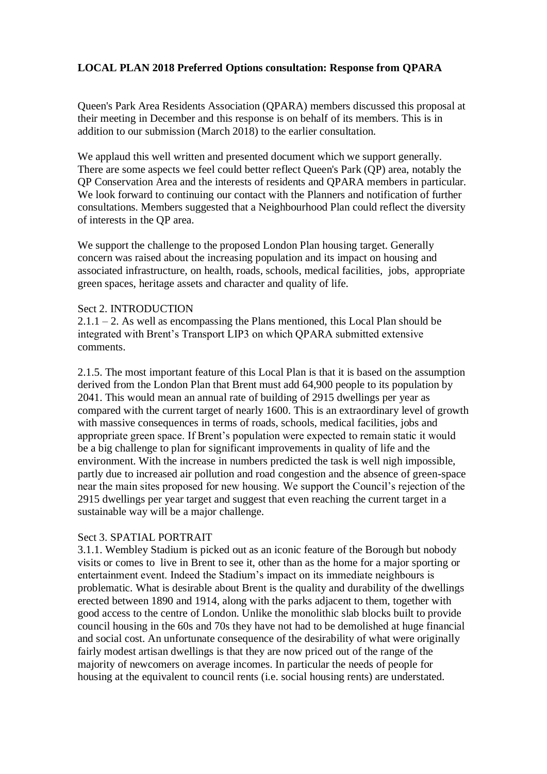# **LOCAL PLAN 2018 Preferred Options consultation: Response from QPARA**

Queen's Park Area Residents Association (QPARA) members discussed this proposal at their meeting in December and this response is on behalf of its members. This is in addition to our submission (March 2018) to the earlier consultation.

We applaud this well written and presented document which we support generally. There are some aspects we feel could better reflect Queen's Park (QP) area, notably the QP Conservation Area and the interests of residents and QPARA members in particular. We look forward to continuing our contact with the Planners and notification of further consultations. Members suggested that a Neighbourhood Plan could reflect the diversity of interests in the QP area.

We support the challenge to the proposed London Plan housing target. Generally concern was raised about the increasing population and its impact on housing and associated infrastructure, on health, roads, schools, medical facilities, jobs, appropriate green spaces, heritage assets and character and quality of life.

### Sect 2. INTRODUCTION

 $2.1.1 - 2$ . As well as encompassing the Plans mentioned, this Local Plan should be integrated with Brent's Transport LIP3 on which QPARA submitted extensive comments.

2.1.5. The most important feature of this Local Plan is that it is based on the assumption derived from the London Plan that Brent must add 64,900 people to its population by 2041. This would mean an annual rate of building of 2915 dwellings per year as compared with the current target of nearly 1600. This is an extraordinary level of growth with massive consequences in terms of roads, schools, medical facilities, jobs and appropriate green space. If Brent's population were expected to remain static it would be a big challenge to plan for significant improvements in quality of life and the environment. With the increase in numbers predicted the task is well nigh impossible, partly due to increased air pollution and road congestion and the absence of green-space near the main sites proposed for new housing. We support the Council's rejection of the 2915 dwellings per year target and suggest that even reaching the current target in a sustainable way will be a major challenge.

### Sect 3. SPATIAL PORTRAIT

3.1.1. Wembley Stadium is picked out as an iconic feature of the Borough but nobody visits or comes to live in Brent to see it, other than as the home for a major sporting or entertainment event. Indeed the Stadium's impact on its immediate neighbours is problematic. What is desirable about Brent is the quality and durability of the dwellings erected between 1890 and 1914, along with the parks adjacent to them, together with good access to the centre of London. Unlike the monolithic slab blocks built to provide council housing in the 60s and 70s they have not had to be demolished at huge financial and social cost. An unfortunate consequence of the desirability of what were originally fairly modest artisan dwellings is that they are now priced out of the range of the majority of newcomers on average incomes. In particular the needs of people for housing at the equivalent to council rents (i.e. social housing rents) are understated.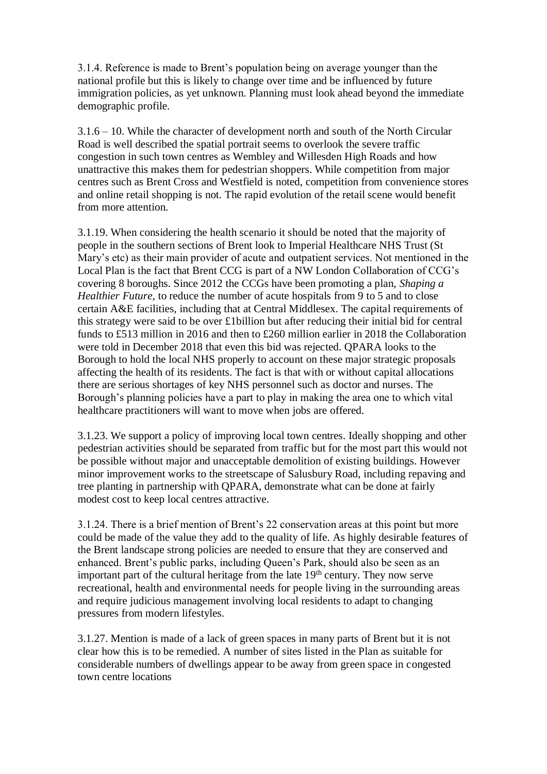3.1.4. Reference is made to Brent's population being on average younger than the national profile but this is likely to change over time and be influenced by future immigration policies, as yet unknown. Planning must look ahead beyond the immediate demographic profile.

3.1.6 – 10. While the character of development north and south of the North Circular Road is well described the spatial portrait seems to overlook the severe traffic congestion in such town centres as Wembley and Willesden High Roads and how unattractive this makes them for pedestrian shoppers. While competition from major centres such as Brent Cross and Westfield is noted, competition from convenience stores and online retail shopping is not. The rapid evolution of the retail scene would benefit from more attention.

3.1.19. When considering the health scenario it should be noted that the majority of people in the southern sections of Brent look to Imperial Healthcare NHS Trust (St Mary's etc) as their main provider of acute and outpatient services. Not mentioned in the Local Plan is the fact that Brent CCG is part of a NW London Collaboration of CCG's covering 8 boroughs. Since 2012 the CCGs have been promoting a plan, *Shaping a Healthier Future,* to reduce the number of acute hospitals from 9 to 5 and to close certain A&E facilities, including that at Central Middlesex. The capital requirements of this strategy were said to be over £1billion but after reducing their initial bid for central funds to £513 million in 2016 and then to £260 million earlier in 2018 the Collaboration were told in December 2018 that even this bid was rejected. QPARA looks to the Borough to hold the local NHS properly to account on these major strategic proposals affecting the health of its residents. The fact is that with or without capital allocations there are serious shortages of key NHS personnel such as doctor and nurses. The Borough's planning policies have a part to play in making the area one to which vital healthcare practitioners will want to move when jobs are offered.

3.1.23. We support a policy of improving local town centres. Ideally shopping and other pedestrian activities should be separated from traffic but for the most part this would not be possible without major and unacceptable demolition of existing buildings. However minor improvement works to the streetscape of Salusbury Road, including repaving and tree planting in partnership with QPARA, demonstrate what can be done at fairly modest cost to keep local centres attractive.

3.1.24. There is a brief mention of Brent's 22 conservation areas at this point but more could be made of the value they add to the quality of life. As highly desirable features of the Brent landscape strong policies are needed to ensure that they are conserved and enhanced. Brent's public parks, including Queen's Park, should also be seen as an important part of the cultural heritage from the late  $19<sup>th</sup>$  century. They now serve recreational, health and environmental needs for people living in the surrounding areas and require judicious management involving local residents to adapt to changing pressures from modern lifestyles.

3.1.27. Mention is made of a lack of green spaces in many parts of Brent but it is not clear how this is to be remedied. A number of sites listed in the Plan as suitable for considerable numbers of dwellings appear to be away from green space in congested town centre locations